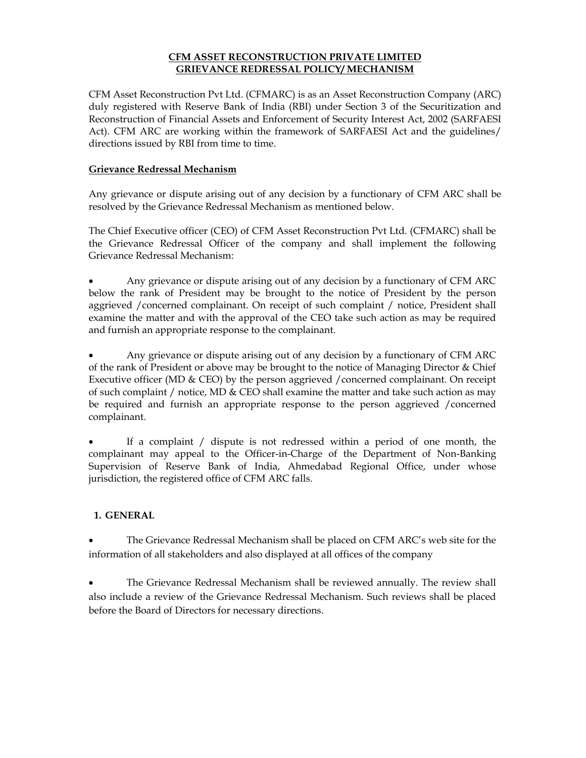# **CFM ASSET RECONSTRUCTION PRIVATE LIMITED GRIEVANCE REDRESSAL POLICY/ MECHANISM**

CFM Asset Reconstruction Pvt Ltd. (CFMARC) is as an Asset Reconstruction Company (ARC) duly registered with Reserve Bank of India (RBI) under Section 3 of the Securitization and Reconstruction of Financial Assets and Enforcement of Security Interest Act, 2002 (SARFAESI Act). CFM ARC are working within the framework of SARFAESI Act and the guidelines/ directions issued by RBI from time to time.

# **Grievance Redressal Mechanism**

Any grievance or dispute arising out of any decision by a functionary of CFM ARC shall be resolved by the Grievance Redressal Mechanism as mentioned below.

The Chief Executive officer (CEO) of CFM Asset Reconstruction Pvt Ltd. (CFMARC) shall be the Grievance Redressal Officer of the company and shall implement the following Grievance Redressal Mechanism:

 Any grievance or dispute arising out of any decision by a functionary of CFM ARC below the rank of President may be brought to the notice of President by the person aggrieved /concerned complainant. On receipt of such complaint / notice, President shall examine the matter and with the approval of the CEO take such action as may be required and furnish an appropriate response to the complainant.

 Any grievance or dispute arising out of any decision by a functionary of CFM ARC of the rank of President or above may be brought to the notice of Managing Director & Chief Executive officer (MD & CEO) by the person aggrieved /concerned complainant. On receipt of such complaint / notice, MD & CEO shall examine the matter and take such action as may be required and furnish an appropriate response to the person aggrieved /concerned complainant.

 If a complaint / dispute is not redressed within a period of one month, the complainant may appeal to the Officer-in-Charge of the Department of Non-Banking Supervision of Reserve Bank of India, Ahmedabad Regional Office, under whose jurisdiction, the registered office of CFM ARC falls.

# **1. GENERAL**

 The Grievance Redressal Mechanism shall be placed on CFM ARC's web site for the information of all stakeholders and also displayed at all offices of the company

 The Grievance Redressal Mechanism shall be reviewed annually. The review shall also include a review of the Grievance Redressal Mechanism. Such reviews shall be placed before the Board of Directors for necessary directions.